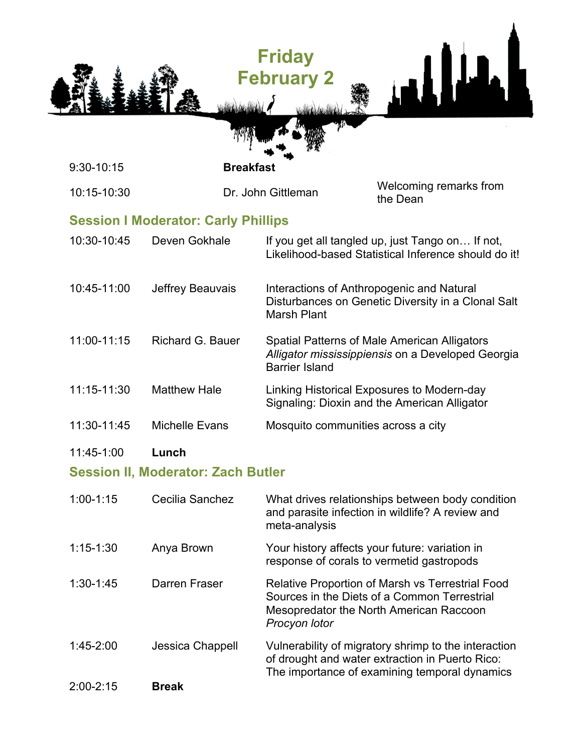|               |                                            | <b>Friday</b><br><b>February 2</b> |                                                                                                                                                          |
|---------------|--------------------------------------------|------------------------------------|----------------------------------------------------------------------------------------------------------------------------------------------------------|
| 9:30-10:15    | <b>Breakfast</b>                           |                                    |                                                                                                                                                          |
| 10:15-10:30   |                                            | Dr. John Gittleman                 | Welcoming remarks from<br>the Dean                                                                                                                       |
|               | <b>Session I Moderator: Carly Phillips</b> |                                    |                                                                                                                                                          |
| 10:30-10:45   | Deven Gokhale                              |                                    | If you get all tangled up, just Tango on If not,<br>Likelihood-based Statistical Inference should do it!                                                 |
| 10:45-11:00   | Jeffrey Beauvais                           | <b>Marsh Plant</b>                 | Interactions of Anthropogenic and Natural<br>Disturbances on Genetic Diversity in a Clonal Salt                                                          |
| 11:00-11:15   | <b>Richard G. Bauer</b>                    | <b>Barrier Island</b>              | Spatial Patterns of Male American Alligators<br>Alligator mississippiensis on a Developed Georgia                                                        |
| 11:15-11:30   | <b>Matthew Hale</b>                        |                                    | Linking Historical Exposures to Modern-day<br>Signaling: Dioxin and the American Alligator                                                               |
| 11:30-11:45   | <b>Michelle Evans</b>                      | Mosquito communities across a city |                                                                                                                                                          |
| 11:45-1:00    | Lunch                                      |                                    |                                                                                                                                                          |
|               | <b>Session II, Moderator: Zach Butler</b>  |                                    |                                                                                                                                                          |
| $1:00-1:15$   | Cecilia Sanchez                            | meta-analysis                      | What drives relationships between body condition<br>and parasite infection in wildlife? A review and                                                     |
| $1:15 - 1:30$ | Anya Brown                                 |                                    | Your history affects your future: variation in<br>response of corals to vermetid gastropods                                                              |
| $1:30-1:45$   | Darren Fraser                              | Procyon lotor                      | Relative Proportion of Marsh vs Terrestrial Food<br>Sources in the Diets of a Common Terrestrial<br>Mesopredator the North American Raccoon              |
| 1:45-2:00     | Jessica Chappell                           |                                    | Vulnerability of migratory shrimp to the interaction<br>of drought and water extraction in Puerto Rico:<br>The importance of examining temporal dynamics |
| 2:00-2:15     | <b>Break</b>                               |                                    |                                                                                                                                                          |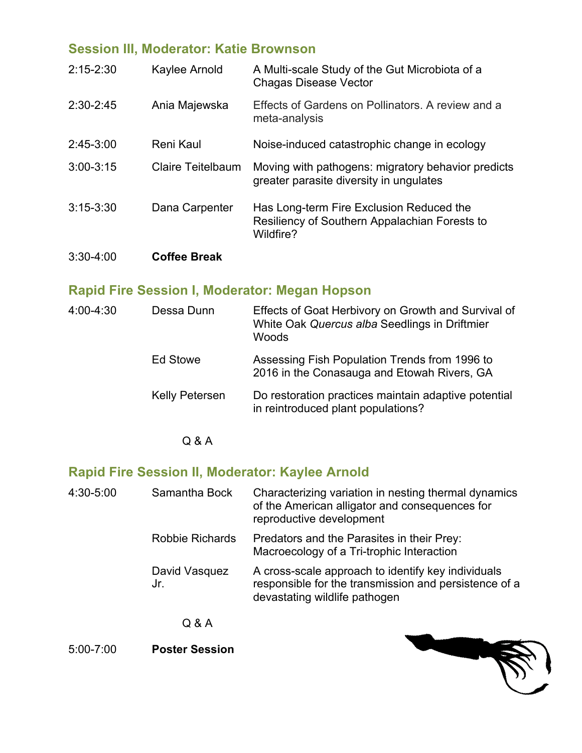## **Session III, Moderator: Katie Brownson**

| $2:15 - 2:30$ | Kaylee Arnold            | A Multi-scale Study of the Gut Microbiota of a<br><b>Chagas Disease Vector</b>                         |
|---------------|--------------------------|--------------------------------------------------------------------------------------------------------|
| 2:30-2:45     | Ania Majewska            | Effects of Gardens on Pollinators. A review and a<br>meta-analysis                                     |
| $2:45-3:00$   | Reni Kaul                | Noise-induced catastrophic change in ecology                                                           |
| $3:00-3:15$   | <b>Claire Teitelbaum</b> | Moving with pathogens: migratory behavior predicts<br>greater parasite diversity in ungulates          |
| $3:15-3:30$   | Dana Carpenter           | Has Long-term Fire Exclusion Reduced the<br>Resiliency of Southern Appalachian Forests to<br>Wildfire? |
| $3:30-4:00$   | <b>Coffee Break</b>      |                                                                                                        |

## **Rapid Fire Session I, Moderator: Megan Hopson**

| 4:00-4:30 | Dessa Dunn            | Effects of Goat Herbivory on Growth and Survival of<br>White Oak Quercus alba Seedlings in Driftmier<br>Woods |
|-----------|-----------------------|---------------------------------------------------------------------------------------------------------------|
|           | Ed Stowe              | Assessing Fish Population Trends from 1996 to<br>2016 in the Conasauga and Etowah Rivers, GA                  |
|           | <b>Kelly Petersen</b> | Do restoration practices maintain adaptive potential<br>in reintroduced plant populations?                    |

Q & A

## **Rapid Fire Session II, Moderator: Kaylee Arnold**

| 4:30-5:00 | Samantha Bock         | Characterizing variation in nesting thermal dynamics<br>of the American alligator and consequences for<br>reproductive development           |
|-----------|-----------------------|----------------------------------------------------------------------------------------------------------------------------------------------|
|           | Robbie Richards       | Predators and the Parasites in their Prey:<br>Macroecology of a Tri-trophic Interaction                                                      |
|           | David Vasquez<br>Jr.  | A cross-scale approach to identify key individuals<br>responsible for the transmission and persistence of a<br>devastating wildlife pathogen |
|           | Q & A                 |                                                                                                                                              |
| 5:00-7:00 | <b>Poster Session</b> |                                                                                                                                              |

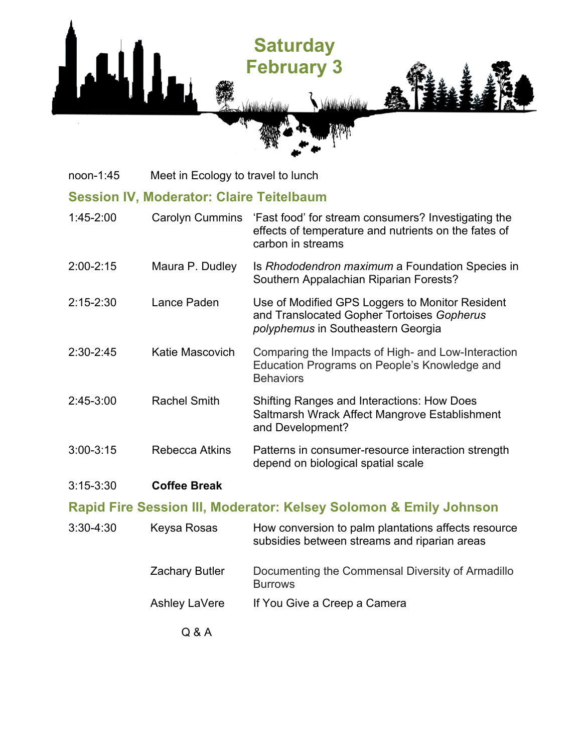

noon-1:45 Meet in Ecology to travel to lunch

### **Session IV, Moderator: Claire Teitelbaum**

| $1:45 - 2:00$ | <b>Carolyn Cummins</b> | 'Fast food' for stream consumers? Investigating the<br>effects of temperature and nutrients on the fates of<br>carbon in streams    |
|---------------|------------------------|-------------------------------------------------------------------------------------------------------------------------------------|
| $2:00 - 2:15$ | Maura P. Dudley        | Is Rhododendron maximum a Foundation Species in<br>Southern Appalachian Riparian Forests?                                           |
| $2:15 - 2:30$ | Lance Paden            | Use of Modified GPS Loggers to Monitor Resident<br>and Translocated Gopher Tortoises Gopherus<br>polyphemus in Southeastern Georgia |
| $2:30 - 2:45$ | Katie Mascovich        | Comparing the Impacts of High- and Low-Interaction<br>Education Programs on People's Knowledge and<br><b>Behaviors</b>              |
| $2:45-3:00$   | <b>Rachel Smith</b>    | <b>Shifting Ranges and Interactions: How Does</b><br>Saltmarsh Wrack Affect Mangrove Establishment<br>and Development?              |
| $3:00 - 3:15$ | Rebecca Atkins         | Patterns in consumer-resource interaction strength<br>depend on biological spatial scale                                            |

#### 3:15-3:30 **Coffee Break**

### **Rapid Fire Session III, Moderator: Kelsey Solomon & Emily Johnson**

| $3:30 - 4:30$ | Keysa Rosas           | How conversion to palm plantations affects resource<br>subsidies between streams and riparian areas |
|---------------|-----------------------|-----------------------------------------------------------------------------------------------------|
|               | <b>Zachary Butler</b> | Documenting the Commensal Diversity of Armadillo<br><b>Burrows</b>                                  |
|               | Ashley LaVere         | If You Give a Creep a Camera                                                                        |
|               | Q & A                 |                                                                                                     |